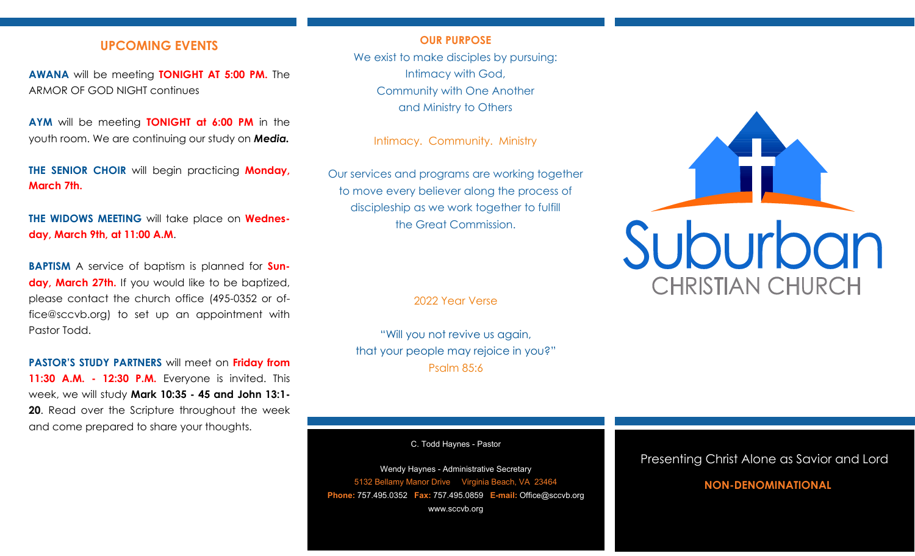# **UPCOMING EVENTS**

**AWANA** will be meeting **TONIGHT AT 5:00 PM.** The ARMOR OF GOD NIGHT continues

**AYM** will be meeting **TONIGHT at 6:00 PM** in the youth room. We are continuing our study on *Media.*

**THE SENIOR CHOIR** will begin practicing **Monday, March 7th.**

**THE WIDOWS MEETING** will take place on **Wednesday, March 9th, at 11:00 A.M**.

**BAPTISM** A service of baptism is planned for **Sunday, March 27th.** If you would like to be baptized, please contact the church office (495-0352 or office@sccvb.org) to set up an appointment with Pastor Todd.

**PASTOR'S STUDY PARTNERS** will meet on **Friday from 11:30 A.M. - 12:30 P.M.** Everyone is invited. This week, we will study **Mark 10:35 - 45 and John 13:1- 20**. Read over the Scripture throughout the week and come prepared to share your thoughts.

#### **OUR PURPOSE**

We exist to make disciples by pursuing: Intimacy with God, Community with One Another and Ministry to Others

Intimacy. Community. Ministry

Our services and programs are working together to move every believer along the process of discipleship as we work together to fulfill the Great Commission.

2022 Year Verse

"Will you not revive us again, that your people may rejoice in you?" Psalm 85:6

C. Todd Haynes - Pastor

Wendy Haynes - Administrative Secretary 5132 Bellamy Manor Drive Virginia Beach, VA 23464 **Phone:** 757.495.0352 **Fax:** 757.495.0859 **E-mail:** Office@sccvb.org www.sccvb.org



## Presenting Christ Alone as Savior and Lord

## **NON-DENOMINATIONAL**